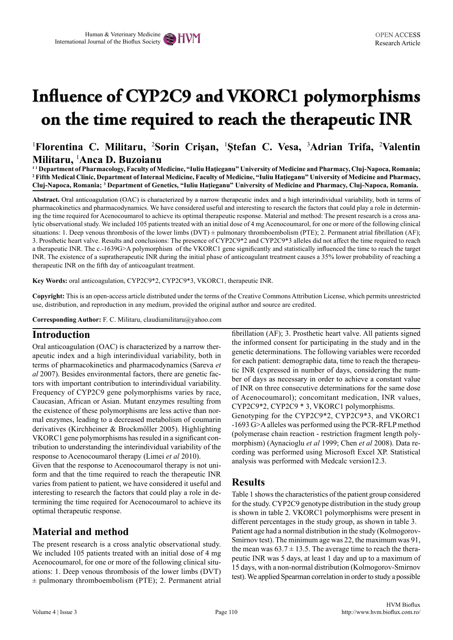# **Influence of CYP2C9 and VKORC1 polymorphisms on the time required to reach the therapeutic INR**

<sup>1</sup>Florentina C. Militaru, <sup>2</sup>Sorin Crișan, <sup>1</sup>Ștefan C. Vesa, <sup>3</sup>Adrian Trifa, <sup>2</sup>Valentin **Militaru,** <sup>1</sup> **Anca D. Buzoianu**

**1 1 Department of Pharmacology, Faculty of Medicine, "Iuliu Haţieganu" University of Medicine and Pharmacy, Cluj-Napoca, Romania; 2 Fifth Medical Clinic, Department of Internal Medicine, Faculty of Medicine, "Iuliu Haţieganu" University of Medicine and Pharmacy, Cluj-Napoca, Romania; <sup>3</sup> Department of Genetics, "Iuliu Haţieganu" University of Medicine and Pharmacy, Cluj-Napoca, Romania.**

**Abstract.** Oral anticoagulation (OAC) is characterized by a narrow therapeutic index and a high interindividual variability, both in terms of pharmacokinetics and pharmacodynamics. We have considered useful and interesting to research the factors that could play a role in determining the time required for Acenocoumarol to achieve its optimal therapeutic response. Material and method: The present research is a cross analytic observational study. We included 105 patients treated with an initial dose of 4 mg Acenocoumarol, for one or more of the following clinical situations: 1. Deep venous thrombosis of the lower limbs  $(DVT) \pm \text{pulmonary}$  thromboembolism (PTE); 2. Permanent atrial fibrillation (AF); 3. Prosthetic heart valve. Results and conclusions: The presence of CYP2C9\*2 and CYP2C9\*3 alleles did not affect the time required to reach a therapeutic INR. The c.-1639G>A polymorphism of the VKORC1 gene significantly and statistically influenced the time to reach the target INR. The existence of a supratherapeutic INR during the initial phase of anticoagulant treatment causes a 35% lower probability of reaching a therapeutic INR on the fifth day of anticoagulant treatment.

**Key Words:** oral anticoagulation, CYP2C9\*2, CYP2C9\*3, VKORC1, therapeutic INR.

**Copyright:** This is an open-access article distributed under the terms of the Creative Commons Attribution License, which permits unrestricted use, distribution, and reproduction in any medium, provided the original author and source are credited.

**Corresponding Author:** F. C. Militaru, claudiamilitaru@yahoo.com

#### **Introduction**

Oral anticoagulation (OAC) is characterized by a narrow therapeutic index and a high interindividual variability, both in terms of pharmacokinetics and pharmacodynamics (Sareva *et al* 2007). Besides environmental factors, there are genetic factors with important contribution to interindividual variability. Frequency of CYP2C9 gene polymorphisms varies by race, Caucasian, African or Asian. Mutant enzymes resulting from the existence of these polymorphisms are less active than normal enzymes, leading to a decreased metabolism of coumarin derivatives (Kirchheiner & Brockmöller 2005). Highlighting VKORC1 gene polymorphisms has resuled in a significant contribution to understanding the interindividual variability of the response to Acenocoumarol therapy (Limei *et al* 2010).

Given that the response to Acenocoumarol therapy is not uniform and that the time required to reach the therapeutic INR varies from patient to patient, we have considered it useful and interesting to research the factors that could play a role in determining the time required for Acenocoumarol to achieve its optimal therapeutic response.

### **Material and method**

The present research is a cross analytic observational study. We included 105 patients treated with an initial dose of 4 mg Acenocoumarol, for one or more of the following clinical situations: 1. Deep venous thrombosis of the lower limbs (DVT)  $±$  pulmonary thromboembolism (PTE); 2. Permanent atrial fibrillation (AF); 3. Prosthetic heart valve. All patients signed the informed consent for participating in the study and in the genetic determinations. The following variables were recorded for each patient: demographic data, time to reach the therapeutic INR (expressed in number of days, considering the number of days as necessary in order to achieve a constant value of INR on three consecutive determinations for the same dose of Acenocoumarol); concomitant medication, INR values, CYP2C9\*2, CYP2C9 \* 3, VKORC1 polymorphisms.

Genotyping for the CYP2C9\*2, CYP2C9\*3, and VKORC1 -1693 G>A alleles was performed using the PCR-RFLP method (polymerase chain reaction - restriction fragment length polymorphism) (Aynacioglu *et al* 1999; Chen *et al* 2008). Data recording was performed using Microsoft Excel XP. Statistical analysis was performed with Medcalc version12.3.

#### **Results**

Table 1 shows the characteristics of the patient group considered for the study. CYP2C9 genotype distribution in the study group is shown in table 2. VKORC1 polymorphisms were present in different percentages in the study group, as shown in table 3. Patient age had a normal distribution in the study (Kolmogorov-Smirnov test). The minimum age was 22, the maximum was 91, the mean was  $63.7 \pm 13.5$ . The average time to reach the therapeutic INR was 5 days, at least 1 day and up to a maximum of 15 days, with a non-normal distribution (Kolmogorov-Smirnov test). We applied Spearman correlation in order to study a possible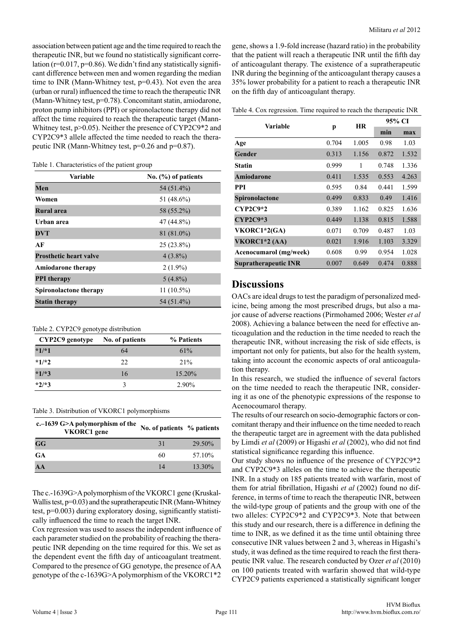association between patient age and the time required to reach the therapeutic INR, but we found no statistically significant correlation ( $r=0.017$ ,  $p=0.86$ ). We didn't find any statistically significant difference between men and women regarding the median time to INR (Mann-Whitney test, p=0.43). Not even the area (urban or rural) influenced the time to reach the therapeutic INR (Mann-Whitney test, p=0.78). Concomitant statin, amiodarone, proton pump inhibitors (PPI) or spironolactone therapy did not affect the time required to reach the therapeutic target (Mann-Whitney test, p>0.05). Neither the presence of CYP2C9\*2 and CYP2C9\*3 allele affected the time needed to reach the therapeutic INR (Mann-Whitney test, p=0.26 and p=0.87).

|  |  | Table 1. Characteristics of the patient group |  |  |  |
|--|--|-----------------------------------------------|--|--|--|
|--|--|-----------------------------------------------|--|--|--|

| Variable                      | No. $(\% )$ of patients |
|-------------------------------|-------------------------|
| Men                           | 54 (51.4%)              |
| Women                         | 51 (48.6%)              |
| Rural area                    | 58 (55.2%)              |
| Urban area                    | 47 (44.8%)              |
| <b>DVT</b>                    | 81 (81.0%)              |
| AF                            | $25(23.8\%)$            |
| <b>Prosthetic heart valve</b> | $4(3.8\%)$              |
| <b>Amiodarone therapy</b>     | $2(1.9\%)$              |
| <b>PPI</b> therapy            | $5(4.8\%)$              |
| Spironolactone therapy        | $11(10.5\%)$            |
| <b>Statin therapy</b>         | 54 (51.4%)              |

Table 2. CYP2C9 genotype distribution

| CYP2C9 genotype | No. of patients | % Patients |
|-----------------|-----------------|------------|
| $*1/*1$         | 64              | 61%        |
| $*1/*2$         | 22.             | 21%        |
| $*1/*3$         | 16              | $15.20\%$  |
| $*2/*3$         | 3               | $2.90\%$   |

Table 3. Distribution of VKORC1 polymorphisms

| c.–1639 G>A polymorphism of the<br>VKORC1 gene | No. of patients % patients |        |
|------------------------------------------------|----------------------------|--------|
| GG                                             | 31                         | 29.50% |
| <b>GA</b>                                      | 60                         | 57.10% |
| AA                                             | 14                         | 13.30% |

The c.-1639G>A polymorphism of the VKORC1 gene (Kruskal-Wallis test, p=0.03) and the supratherapeutic INR (Mann-Whitney test, p=0.003) during exploratory dosing, significantly statistically influenced the time to reach the target INR.

Cox regression was used to assess the independent influence of each parameter studied on the probability of reaching the therapeutic INR depending on the time required for this. We set as the dependent event the fifth day of anticoagulant treatment. Compared to the presence of GG genotype, the presence of AA genotype of the c-1639G>A polymorphism of the VKORC1\*2

gene, shows a 1.9-fold increase (hazard ratio) in the probability that the patient will reach a therapeutic INR until the fifth day of anticoagulant therapy. The existence of a supratherapeutic INR during the beginning of the anticoagulant therapy causes a 35% lower probability for a patient to reach a therapeutic INR on the fifth day of anticoagulant therapy.

Table 4. Cox regression. Time required to reach the therapeutic INR

| Variable                    | p     | <b>HR</b> | 95% CI |       |
|-----------------------------|-------|-----------|--------|-------|
|                             |       |           | min    | max   |
| Age                         | 0.704 | 1.005     | 0.98   | 1.03  |
| Gender                      | 0.313 | 1.156     | 0.872  | 1.532 |
| <b>Statin</b>               | 0.999 | 1         | 0.748  | 1.336 |
| Amiodarone                  | 0.411 | 1.535     | 0.553  | 4.263 |
| <b>PPI</b>                  | 0.595 | 0.84      | 0.441  | 1.599 |
| Spironolactone              | 0.499 | 0.833     | 0.49   | 1.416 |
| $CYP2C9*2$                  | 0.389 | 1.162     | 0.825  | 1.636 |
| <b>CYP2C9*3</b>             | 0.449 | 1.138     | 0.815  | 1.588 |
| VKORC1*2(GA)                | 0.071 | 0.709     | 0.487  | 1.03  |
| VKORC1*2 (AA)               | 0.021 | 1.916     | 1.103  | 3.329 |
| Acenocumarol (mg/week)      | 0.608 | 0.99      | 0.954  | 1.028 |
| <b>Supratherapeutic INR</b> | 0.007 | 0.649     | 0.474  | 0.888 |

#### **Discussions**

OACs are ideal drugs to test the paradigm of personalized medicine, being among the most prescribed drugs, but also a major cause of adverse reactions (Pirmohamed 2006; Wester *et al*  2008). Achieving a balance between the need for effective anticoagulation and the reduction in the time needed to reach the therapeutic INR, without increasing the risk of side effects, is important not only for patients, but also for the health system, taking into account the economic aspects of oral anticoagulation therapy.

In this research, we studied the influence of several factors on the time needed to reach the therapeutic INR, considering it as one of the phenotypic expressions of the response to Acenocoumarol therapy.

The results of our research on socio-demographic factors or concomitant therapy and their influence on the time needed to reach the therapeutic target are in agreement with the data published by Limdi *et al* (2009) or Higashi *et al* (2002), who did not find statistical significance regarding this influence.

Our study shows no influence of the presence of CYP2C9\*2 and CYP2C9\*3 alleles on the time to achieve the therapeutic INR. In a study on 185 patients treated with warfarin, most of them for atrial fibrillation, Higashi *et al* (2002) found no difference, in terms of time to reach the therapeutic INR, between the wild-type group of patients and the group with one of the two alleles: CYP2C9\*2 and CYP2C9\*3. Note that between this study and our research, there is a difference in defining the time to INR, as we defined it as the time until obtaining three consecutive INR values between 2 and 3, whereas in Higashi's study, it was defined as the time required to reach the first therapeutic INR value. The research conducted by Ozer *et al* (2010) on 100 patients treated with warfarin showed that wild-type CYP2C9 patients experienced a statistically significant longer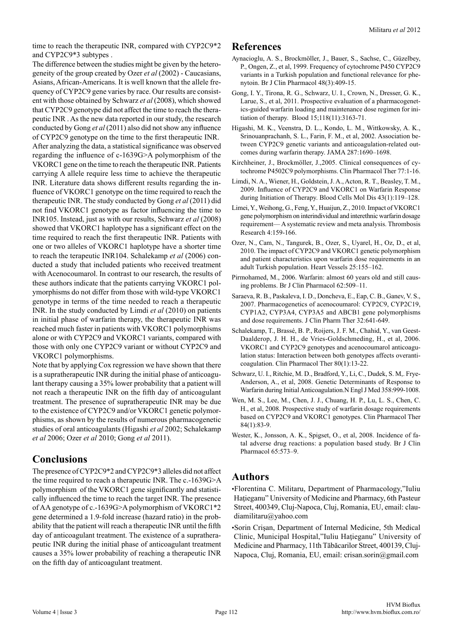time to reach the therapeutic INR, compared with CYP2C9\*2 and CYP2C9\*3 subtypes .

The difference between the studies might be given by the heterogeneity of the group created by Ozer *et al* (2002) - Caucasians, Asians, African-Americans. It is well known that the allele frequency of CYP2C9 gene varies by race. Our results are consistent with those obtained by Schwarz *et al* (2008), which showed that CYP2C9 genotype did not affect the time to reach the therapeutic INR . As the new data reported in our study, the research conducted by Gong *et al* (2011) also did not show any influence of CYP2C9 genotype on the time to the first therapeutic INR. After analyzing the data, a statistical significance was observed regarding the influence of c-1639G>A polymorphism of the VKORC1 gene on the time to reach the therapeutic INR. Patients carrying A allele require less time to achieve the therapeutic INR. Literature data shows different results regarding the influence of VKORC1 genotype on the time required to reach the therapeutic INR. The study conducted by Gong *et al* (2011) did not find VKORC1 genotype as factor influencing the time to INR105. Instead, just as with our results, Schwarz *et al* (2008) showed that VKORC1 haplotype has a significant effect on the time required to reach the first therapeutic INR. Patients with one or two alleles of VKORC1 haplotype have a shorter time to reach the terapeutic INR104. Schalekamp *et al* (2006) conducted a study that included patients who received treatment with Acenocoumarol. In contrast to our research, the results of these authors indicate that the patients carrying VKORC1 polymorphisms do not differ from those with wild-type VKORC1 genotype in terms of the time needed to reach a therapeutic INR. In the study conducted by Limdi *et al* (2010) on patients in initial phase of warfarin therapy, the therapeutic INR was reached much faster in patients with VKORC1 polymorphisms alone or with CYP2C9 and VKORC1 variants, compared with those with only one CYP2C9 variant or without CYP2C9 and VKORC1 polymorphisms.

Note that by applying Cox regression we have shown that there is a supratherapeutic INR during the initial phase of anticoagulant therapy causing a 35% lower probability that a patient will not reach a therapeutic INR on the fifth day of anticoagulant treatment. The presence of supratherapeutic INR may be due to the existence of CYP2C9 and/or VKORC1 genetic polymorphisms, as shown by the results of numerous pharmacogenetic studies of oral anticoagulants (Higashi *et al* 2002; Schalekamp *et al* 2006; Ozer *et al* 2010; Gong *et al* 2011).

## **Conclusions**

The presence of CYP2C9\*2 and CYP2C9\*3 alleles did not affect the time required to reach a therapeutic INR. The c.-1639G>A polymorphism of the VKORC1 gene significantly and statistically influenced the time to reach the target INR. The presence of AA genotype of c.-1639G>A polymorphism of VKORC1\*2 gene determined a 1.9-fold increase (hazard ratio) in the probability that the patient will reach a therapeutic INR until the fifth day of anticoagulant treatment. The existence of a supratherapeutic INR during the initial phase of anticoagulant treatment causes a 35% lower probability of reaching a therapeutic INR on the fifth day of anticoagulant treatment.

#### **References**

- Aynacioglu, A. S., Brockmöller, J., Bauer, S., Sachse, C., Güzelbey, P., Ongen, Z., et al, 1999. Frequency of cytochrome P450 CYP2C9 variants in a Turkish population and functional relevance for phenytoin. Br J Clin Pharmacol 48(3):409-15.
- Gong, I. Y., Tirona, R. G., Schwarz, U. I., Crown, N., Dresser, G. K., Larue, S., et al, 2011. Prospective evaluation of a pharmacogenetics-guided warfarin loading and maintenance dose regimen for initiation of therapy. Blood 15;118(11):3163-71.
- Higashi, M. K., Veenstra, D. L., Kondo, L. M., Wittkowsky, A. K., Srinouanprachanh, S. L., Farin, F. M., et al, 2002. Association between CYP2C9 genetic variants and anticoagulation-related outcomes during warfarin therapy. JAMA 287:1690–1698.
- Kirchheiner, J., Brockmöller, J.,2005. Clinical consequences of cytochrome P4502C9 polymorphisms. Clin Pharmacol Ther 77:1-16.
- Limdi, N. A., Wiener, H., Goldstein, J. A., Acton, R. T., Beasley, T. M., 2009. Influence of CYP2C9 and VKORC1 on Warfarin Response during Initiation of Therapy. Blood Cells Mol Dis 43(1):119–128.
- Limei, Y., Weihong, G., Feng, Y., Huaijun, Z., 2010. Impact of VKORC1 gene polymorphism on interindividual and interethnic warfarin dosage requirement— A systematic review and meta analysis. Thrombosis Research 4:159-166.
- Ozer, N., Cam, N., Tangurek, B., Ozer, S., Uyarel, H., Oz, D., et al, 2010. The impact of CYP2C9 and VKORC1 genetic polymorphism and patient characteristics upon warfarin dose requirements in an adult Turkish population. Heart Vessels 25:155–162.
- Pirmohamed, M., 2006. Warfarin: almost 60 years old and still causing problems. Br J Clin Pharmacol 62:509–11.
- Saraeva, R. B., Paskaleva, I. D., Doncheva, E., Eap, C. B., Ganev, V. S., 2007. Pharmacogenetics of acenocoumarol: CYP2C9, CYP2C19, CYP1A2, CYP3A4, CYP3A5 and ABCB1 gene polymorphisms and dose requirements. J Clin Pharm Ther 32:641-649.
- Schalekamp, T., Brassé, B. P., Roijers, J. F. M., Chahid, Y., van Geest-Daalderop, J. H. H., de Vries-Goldschmeding, H., et al, 2006. VKORC1 and CYP2C9 genotypes and acenocoumarol anticoagulation status: Interaction between both genotypes affects overanticoagulation. Clin Pharmacol Ther 80(1):13-22.
- Schwarz, U. I., Ritchie, M. D., Bradford, Y., Li, C., Dudek, S. M,. Frye-Anderson, A., et al, 2008. Genetic Determinants of Response to Warfarin during Initial Anticoagulation.N Engl J Med 358:999-1008.
- Wen, M. S., Lee, M., Chen, J. J., Chuang, H. P., Lu, L. S., Chen, C. H., et al, 2008. Prospective study of warfarin dosage requirements based on CYP2C9 and VKORC1 genotypes. Clin Pharmacol Ther 84(1):83-9.
- Wester, K., Jonsson, A. K., Spigset, O., et al, 2008. Incidence of fatal adverse drug reactions: a population based study. Br J Clin Pharmacol 65:573–9.

## **Authors**

•Florentina C. Militaru, Department of Pharmacology,"Iuliu Hațieganu" University of Medicine and Pharmacy, 6th Pasteur Street, 400349, Cluj-Napoca, Cluj, Romania, EU, email: claudiamilitaru@yahoo.com

•Sorin Crişan, Department of Internal Medicine, 5th Medical Clinic, Municipal Hospital,"Iuliu Haţieganu" University of Medicine and Pharmacy, 11th Tăbăcarilor Street, 400139, Cluj-Napoca, Cluj, Romania, EU, email: crisan.sorin@gmail.com